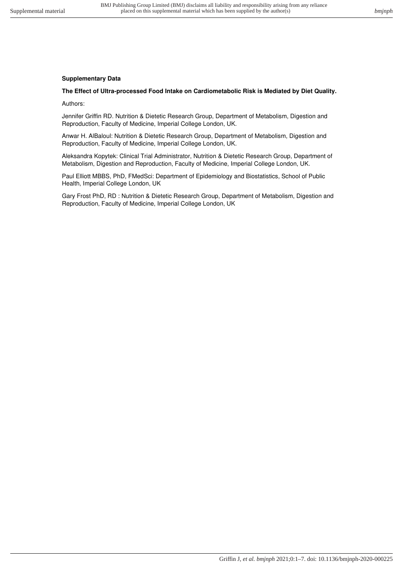## **Supplementary Data**

## **The Effect of Ultra-processed Food Intake on Cardiometabolic Risk is Mediated by Diet Quality.**

Authors:

Jennifer Griffin RD. Nutrition & Dietetic Research Group, Department of Metabolism, Digestion and Reproduction, Faculty of Medicine, Imperial College London, UK.

Anwar H. AlBaloul: Nutrition & Dietetic Research Group, Department of Metabolism, Digestion and Reproduction, Faculty of Medicine, Imperial College London, UK.

Aleksandra Kopytek: Clinical Trial Administrator, Nutrition & Dietetic Research Group, Department of Metabolism, Digestion and Reproduction, Faculty of Medicine, Imperial College London, UK.

Paul Elliott MBBS, PhD, FMedSci: Department of Epidemiology and Biostatistics, School of Public Health, Imperial College London, UK

Gary Frost PhD, RD : Nutrition & Dietetic Research Group, Department of Metabolism, Digestion and Reproduction, Faculty of Medicine, Imperial College London, UK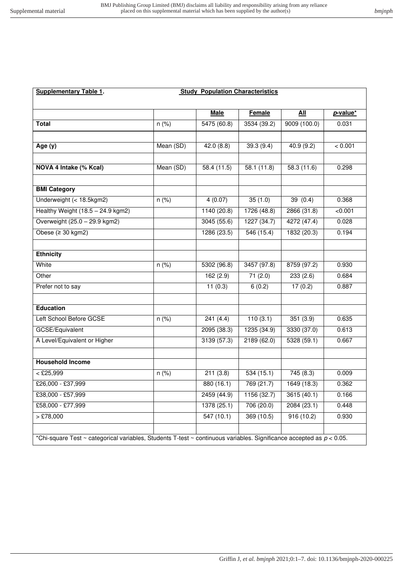| <b>Supplementary Table 1.</b>                                                                                           | <b>Study Population Characteristics</b> |             |             |             |          |
|-------------------------------------------------------------------------------------------------------------------------|-----------------------------------------|-------------|-------------|-------------|----------|
|                                                                                                                         |                                         |             |             |             |          |
|                                                                                                                         |                                         | <b>Male</b> | Female      | All         | p-value* |
| <b>Total</b>                                                                                                            | n (%)                                   | 5475 (60.8) | 3534 (39.2) | 9009(100.0) | 0.031    |
|                                                                                                                         |                                         |             |             |             |          |
| Age (y)                                                                                                                 | Mean (SD)                               | 42.0(8.8)   | 39.3(9.4)   | 40.9 (9.2)  | < 0.001  |
| NOVA 4 Intake (% Kcal)                                                                                                  | Mean (SD)                               | 58.4(11.5)  | 58.1(11.8)  | 58.3(11.6)  | 0.298    |
|                                                                                                                         |                                         |             |             |             |          |
| <b>BMI Category</b>                                                                                                     |                                         |             |             |             |          |
| Underweight (< 18.5kgm2)                                                                                                | $n$ (%)                                 | 4(0.07)     | 35(1.0)     | 39(0.4)     | 0.368    |
| Healthy Weight $(18.5 - 24.9$ kgm2)                                                                                     |                                         | 1140(20.8)  | 1726 (48.8) | 2866 (31.8) | < 0.001  |
| Overweight (25.0 - 29.9 kgm2)                                                                                           |                                         | 3045(55.6)  | 1227(34.7)  | 4272 (47.4) | 0.028    |
| Obese $(≥ 30$ kgm2)                                                                                                     |                                         | 1286(23.5)  | 546 (15.4)  | 1832(20.3)  | 0.194    |
|                                                                                                                         |                                         |             |             |             |          |
| <b>Ethnicity</b>                                                                                                        |                                         |             |             |             |          |
| White                                                                                                                   | $n$ (%)                                 | 5302(96.8)  | 3457(97.8)  | 8759 (97.2) | 0.930    |
| Other                                                                                                                   |                                         | 162(2.9)    | 71(2.0)     | 233(2.6)    | 0.684    |
| Prefer not to say                                                                                                       |                                         | 11(0.3)     | 6(0.2)      | 17(0.2)     | 0.887    |
| <b>Education</b>                                                                                                        |                                         |             |             |             |          |
| Left School Before GCSE                                                                                                 | n (%)                                   | 241(4.4)    | 110(3.1)    | 351(3.9)    | 0.635    |
| GCSE/Equivalent                                                                                                         |                                         | 2095(38.3)  | 1235(34.9)  | 3330 (37.0) | 0.613    |
| A Level/Equivalent or Higher                                                                                            |                                         | 3139(57.3)  | 2189(62.0)  | 5328(59.1)  | 0.667    |
|                                                                                                                         |                                         |             |             |             |          |
| <b>Household Income</b>                                                                                                 |                                         |             |             |             |          |
| $\sqrt{25,999}$                                                                                                         | $n$ (%)                                 | 211(3.8)    | 534 (15.1)  | 745(8.3)    | 0.009    |
| £26,000 - £37,999                                                                                                       |                                         | 880(16.1)   | 769(21.7)   | 1649(18.3)  | 0.362    |
| £38,000 - £57,999                                                                                                       |                                         | 2459 (44.9) | 1156 (32.7) | 3615 (40.1) | 0.166    |
| £58,000 - £77,999                                                                                                       |                                         | 1378(25.1)  | 706(20.0)   | 2084(23.1)  | 0.448    |
| $>$ £78,000                                                                                                             |                                         | 547(10.1)   | 369(10.5)   | 916 (10.2)  | 0.930    |
| *Chi-square Test ~ categorical variables, Students T-test ~ continuous variables. Significance accepted as $p < 0.05$ . |                                         |             |             |             |          |